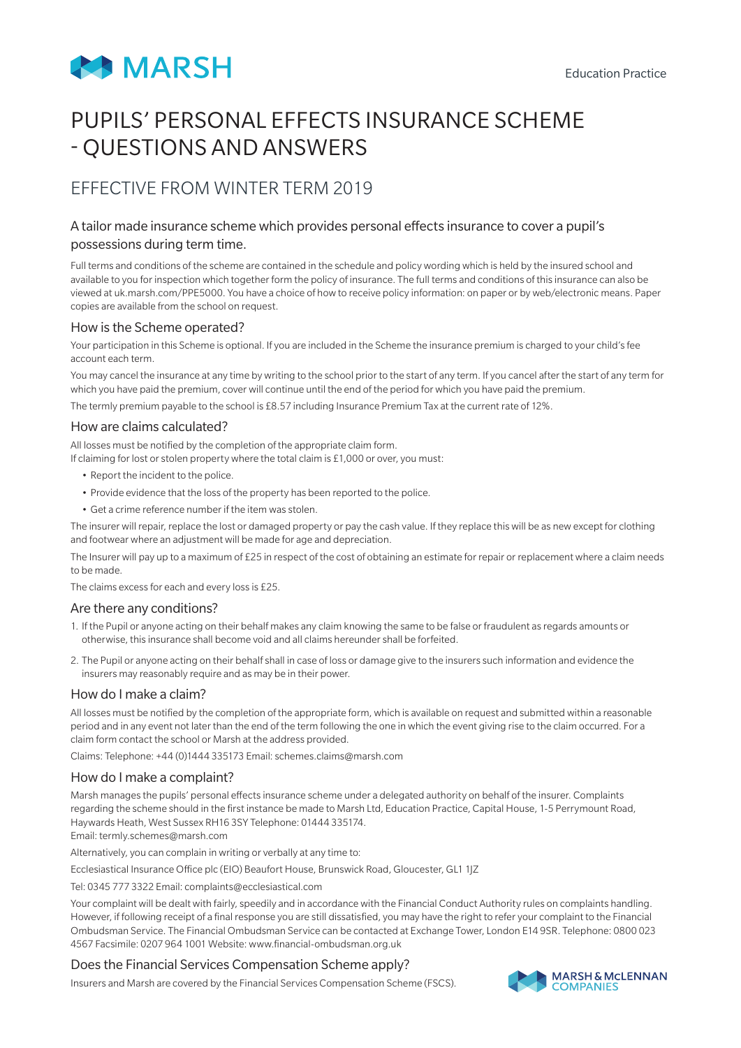

# PUPILS' PERSONAL EFFECTS INSURANCE SCHEME - QUESTIONS AND ANSWERS

# EFFECTIVE FROM WINTER TERM 2019

# A tailor made insurance scheme which provides personal effects insurance to cover a pupil's possessions during term time.

Full terms and conditions of the scheme are contained in the schedule and policy wording which is held by the insured school and available to you for inspection which together form the policy of insurance. The full terms and conditions of this insurance can also be viewed at uk.marsh.com/PPE5000. You have a choice of how to receive policy information: on paper or by web/electronic means. Paper copies are available from the school on request.

#### How is the Scheme operated?

Your participation in this Scheme is optional. If you are included in the Scheme the insurance premium is charged to your child's fee account each term.

You may cancel the insurance at any time by writing to the school prior to the start of any term. If you cancel after the start of any term for which you have paid the premium, cover will continue until the end of the period for which you have paid the premium.

The termly premium payable to the school is £8.57 including Insurance Premium Tax at the current rate of 12%.

## How are claims calculated?

All losses must be notified by the completion of the appropriate claim form.

If claiming for lost or stolen property where the total claim is £1,000 or over, you must:

- Report the incident to the police.
- Provide evidence that the loss of the property has been reported to the police.
- Get a crime reference number if the item was stolen.

The insurer will repair, replace the lost or damaged property or pay the cash value. If they replace this will be as new except for clothing and footwear where an adjustment will be made for age and depreciation.

The Insurer will pay up to a maximum of £25 in respect of the cost of obtaining an estimate for repair or replacement where a claim needs to be made.

The claims excess for each and every loss is £25.

#### Are there any conditions?

- 1. If the Pupil or anyone acting on their behalf makes any claim knowing the same to be false or fraudulent as regards amounts or otherwise, this insurance shall become void and all claims hereunder shall be forfeited.
- 2. The Pupil or anyone acting on their behalf shall in case of loss or damage give to the insurers such information and evidence the insurers may reasonably require and as may be in their power.

#### How do I make a claim?

All losses must be notified by the completion of the appropriate form, which is available on request and submitted within a reasonable period and in any event not later than the end of the term following the one in which the event giving rise to the claim occurred. For a claim form contact the school or Marsh at the address provided.

Claims: Telephone: +44 (0)1444 335173 Email: schemes.claims@marsh.com

#### How do I make a complaint?

Marsh manages the pupils' personal effects insurance scheme under a delegated authority on behalf of the insurer. Complaints regarding the scheme should in the first instance be made to Marsh Ltd, Education Practice, Capital House, 1-5 Perrymount Road, Haywards Heath, West Sussex RH16 3SY Telephone: 01444 335174. Email: termly.schemes@marsh.com

Alternatively, you can complain in writing or verbally at any time to:

Ecclesiastical Insurance Office plc (EIO) Beaufort House, Brunswick Road, Gloucester, GL1 1JZ

Tel: 0345 777 3322 Email: complaints@ecclesiastical.com

Your complaint will be dealt with fairly, speedily and in accordance with the Financial Conduct Authority rules on complaints handling. However, if following receipt of a final response you are still dissatisfied, you may have the right to refer your complaint to the Financial Ombudsman Service. The Financial Ombudsman Service can be contacted at Exchange Tower, London E14 9SR. Telephone: 0800 023 4567 Facsimile: 0207 964 1001 Website: www.financial-ombudsman.org.uk

# Does the Financial Services Compensation Scheme apply?

Insurers and Marsh are covered by the Financial Services Compensation Scheme (FSCS).